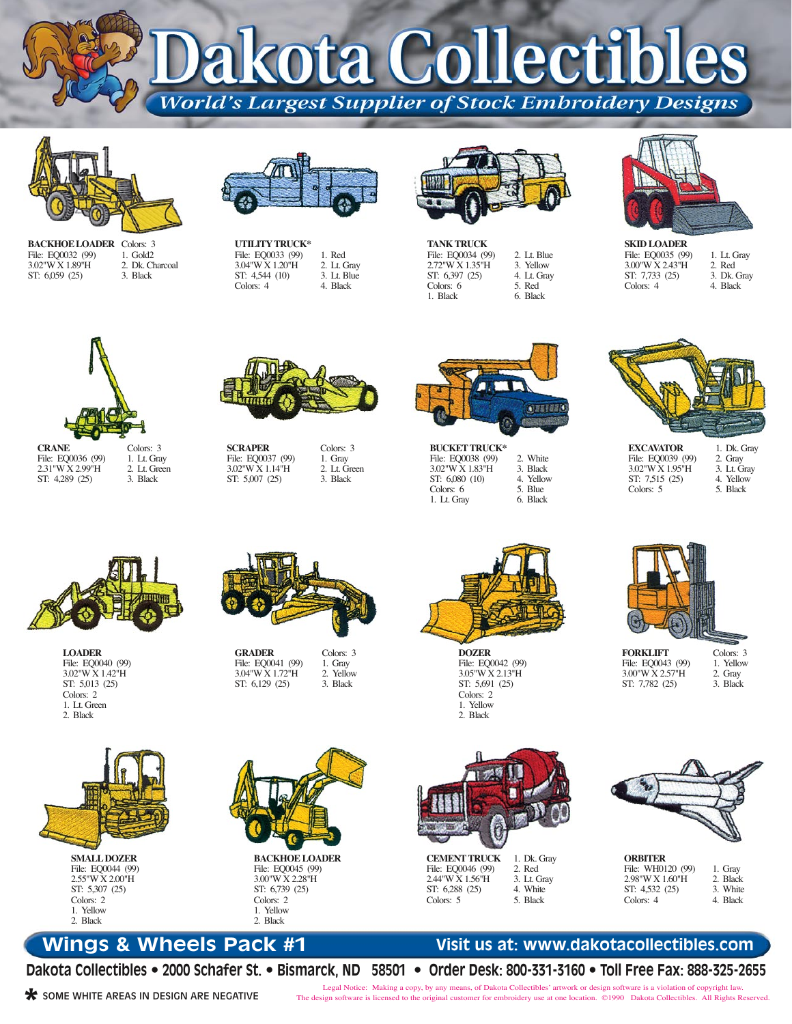kota Collectibl **World's Largest Supplier of Stock Embroidery Designs** 



**BACKHOE LOADER** Colors: 3 File: EQ0032 (99) 3.02"W X 1.89"H ST: 6,059 (25) 1. Gold2 2. Dk. Charcoal 3. Black



**UTILITY TRUCK\*** File: EQ0033 (99) 3.04"W X 1.20"H ST: 4,544 (10) Colors: 4 1. Red 2. Lt. Gray 3. Lt. Blue 4. Black



2. Lt. Blue 3. Yellow 4. Lt. Gray 5. Red 6. Black

**TANK TRUCK** File: EQ0034 (99) 2.72"W X 1.35"H ST: 6,397 (25) Colors: 6 1. Black



**SKID LOADER** File: EQ0035 (99) 3.00"W X 2.43"H ST: 7,733 (25) Colors: 4 1. Lt. Gray 2. Red 3. Dk. Gray 4. Black



**CRANE** File: EQ0036 (99) 2.31"W X 2.99"H ST: 4,289 (25)

3. Black

1. Lt. Gray 2. Lt. Green **SCRAPER** 3.02"W X 1.14"H

ST: 5,007 (25)



1. Gray 2. Lt. Green 3. Black



**BUCKET TRUCK\*** File: EQ0038 (99) 3.02"W X 1.83"H ST: 6,080 (10) Colors: 6 1. Lt. Gray 2. White 3. Black 4. Yellow 5. Blue 6. Black



**EXCAVATOR** File: EQ0039 (99) 3.02"W X 1.95"H ST: 7,515 (25) Colors: 5

**FORKLIFT** File: EQ0043 (99) 3.00"W X 2.57"H ST: 7,782 (25)

2. Gray 3. Lt. Gray 4. Yellow 5. Black

Colors: 3 1. Yellow 2. Gray 3. Black



**LOADER** File: EQ0040 (99) 3.02"W X 1.42"H ST: 5,013 (25) Colors: 2 1. Lt. Green 2. Black

**SMALL DOZER** File: EQ0044 (99) 2.55"W X 2.00"H ST: 5,307 (25) Colors: 2 1. Yellow 2. Black



**GRADER** File: EQ0041 (99) 3.04"W X 1.72"H ST: 6,129 (25) Colors: 3 1. Gray 2. Yellow 3. Black

**BACKHOE LOADER** File: EQ0045 (99) 3.00"W X 2.28"H ST: 6,739 (25) Colors: 2 1. Yellow 2. Black



**DOZER** File: EQ0042 (99) 3.05"W X 2.13"H ST: 5,691 (25) Colors: 2 1. Yellow 2. Black



| <b>CEMENT TRUCK</b> | 1. Dk. Gray |
|---------------------|-------------|
| File: EO0046 (99)   | 2. Red      |
| 2.44"W X 1.56"H     | 3. Lt. Gray |
| ST: 6.288 (25)      | 4. White    |
| Colors: $5$         | 5. Black    |

File:  $2.44"$ 

 $C$ olor $\overline{S}$ 



| <b>ORBITER</b>    |          |
|-------------------|----------|
| File: WH0120 (99) | 1. Gray  |
| 2.98"W X 1.60"H   | 2. Black |
| ST: 4,532 (25)    | 3. White |
| Colors: 4         | 4. Black |

## **Wings & Wheels Pack #1**

**Dakota Collectibles • 2000 Schafer St. • Bismarck, ND 58501 • Order Desk: 800-331-3160 • Toll Free Fax: 888-325-2655**

**\*** SOME WHITE AREAS IN DESIGN ARE NEGATIVE

Legal Notice: Making a copy, by any means, of Dakota Collectibles' artwork or design software is a violation of copyright law. The design software is licensed to the original customer for embroidery use at one location. ©1990 Dakota Collectibles. All Rights Reserved.

**Visit us at: www.dakotacollectibles.com**